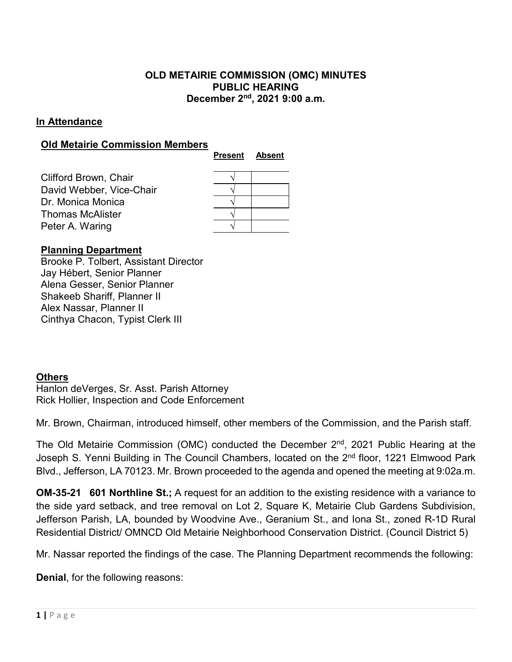## **OLD METAIRIE COMMISSION (OMC) MINUTES PUBLIC HEARING December 2nd, 2021 9:00 a.m.**

### **In Attendance**

#### **Old Metairie Commission Members**

| Clifford Brown, Chair<br>David Webber, Vice-Chair |  |
|---------------------------------------------------|--|
|                                                   |  |
|                                                   |  |
| Dr. Monica Monica                                 |  |
| Thomas McAlister                                  |  |
| Peter A. Waring                                   |  |

## **Planning Department**

Brooke P. Tolbert, Assistant Director Jay Hébert, Senior Planner Alena Gesser, Senior Planner Shakeeb Shariff, Planner II Alex Nassar, Planner II Cinthya Chacon, Typist Clerk III

#### **Others**

Hanlon deVerges, Sr. Asst. Parish Attorney Rick Hollier, Inspection and Code Enforcement

Mr. Brown, Chairman, introduced himself, other members of the Commission, and the Parish staff.

The Old Metairie Commission (OMC) conducted the December  $2<sup>nd</sup>$ , 2021 Public Hearing at the Joseph S. Yenni Building in The Council Chambers, located on the 2<sup>nd</sup> floor, 1221 Elmwood Park Blvd., Jefferson, LA 70123. Mr. Brown proceeded to the agenda and opened the meeting at 9:02a.m.

**OM-35-21 601 Northline St.;** A request for an addition to the existing residence with a variance to the side yard setback, and tree removal on Lot 2, Square K, Metairie Club Gardens Subdivision, Jefferson Parish, LA, bounded by Woodvine Ave., Geranium St., and Iona St., zoned R-1D Rural Residential District/ OMNCD Old Metairie Neighborhood Conservation District. (Council District 5)

Mr. Nassar reported the findings of the case. The Planning Department recommends the following:

**Denial**, for the following reasons: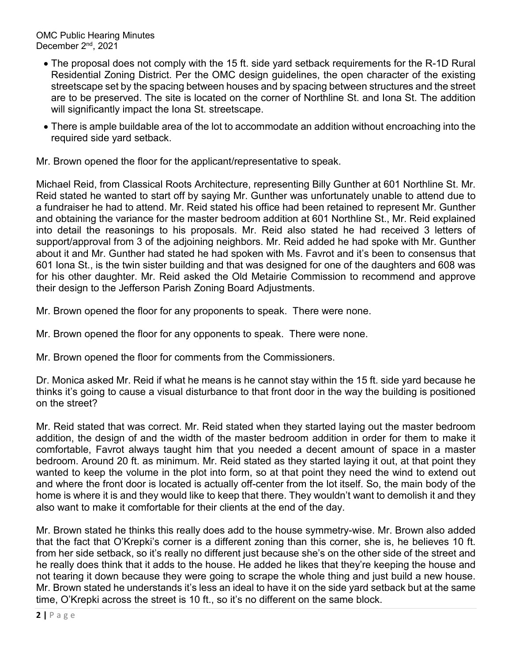- The proposal does not comply with the 15 ft. side yard setback requirements for the R-1D Rural Residential Zoning District. Per the OMC design guidelines, the open character of the existing streetscape set by the spacing between houses and by spacing between structures and the street are to be preserved. The site is located on the corner of Northline St. and Iona St. The addition will significantly impact the Iona St. streetscape.
- There is ample buildable area of the lot to accommodate an addition without encroaching into the required side yard setback.

Mr. Brown opened the floor for the applicant/representative to speak.

Michael Reid, from Classical Roots Architecture, representing Billy Gunther at 601 Northline St. Mr. Reid stated he wanted to start off by saying Mr. Gunther was unfortunately unable to attend due to a fundraiser he had to attend. Mr. Reid stated his office had been retained to represent Mr. Gunther and obtaining the variance for the master bedroom addition at 601 Northline St., Mr. Reid explained into detail the reasonings to his proposals. Mr. Reid also stated he had received 3 letters of support/approval from 3 of the adjoining neighbors. Mr. Reid added he had spoke with Mr. Gunther about it and Mr. Gunther had stated he had spoken with Ms. Favrot and it's been to consensus that 601 Iona St., is the twin sister building and that was designed for one of the daughters and 608 was for his other daughter. Mr. Reid asked the Old Metairie Commission to recommend and approve their design to the Jefferson Parish Zoning Board Adjustments.

Mr. Brown opened the floor for any proponents to speak. There were none.

Mr. Brown opened the floor for any opponents to speak. There were none.

Mr. Brown opened the floor for comments from the Commissioners.

Dr. Monica asked Mr. Reid if what he means is he cannot stay within the 15 ft. side yard because he thinks it's going to cause a visual disturbance to that front door in the way the building is positioned on the street?

Mr. Reid stated that was correct. Mr. Reid stated when they started laying out the master bedroom addition, the design of and the width of the master bedroom addition in order for them to make it comfortable, Favrot always taught him that you needed a decent amount of space in a master bedroom. Around 20 ft. as minimum. Mr. Reid stated as they started laying it out, at that point they wanted to keep the volume in the plot into form, so at that point they need the wind to extend out and where the front door is located is actually off-center from the lot itself. So, the main body of the home is where it is and they would like to keep that there. They wouldn't want to demolish it and they also want to make it comfortable for their clients at the end of the day.

Mr. Brown stated he thinks this really does add to the house symmetry-wise. Mr. Brown also added that the fact that O'Krepki's corner is a different zoning than this corner, she is, he believes 10 ft. from her side setback, so it's really no different just because she's on the other side of the street and he really does think that it adds to the house. He added he likes that they're keeping the house and not tearing it down because they were going to scrape the whole thing and just build a new house. Mr. Brown stated he understands it's less an ideal to have it on the side yard setback but at the same time, O'Krepki across the street is 10 ft., so it's no different on the same block.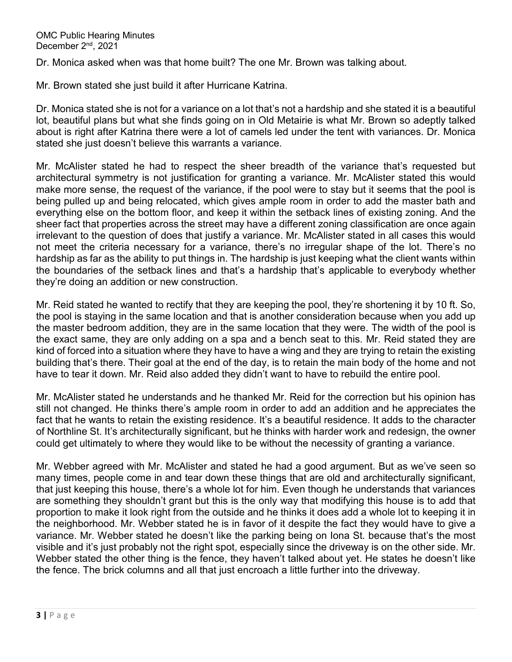Dr. Monica asked when was that home built? The one Mr. Brown was talking about.

Mr. Brown stated she just build it after Hurricane Katrina.

Dr. Monica stated she is not for a variance on a lot that's not a hardship and she stated it is a beautiful lot, beautiful plans but what she finds going on in Old Metairie is what Mr. Brown so adeptly talked about is right after Katrina there were a lot of camels led under the tent with variances. Dr. Monica stated she just doesn't believe this warrants a variance.

Mr. McAlister stated he had to respect the sheer breadth of the variance that's requested but architectural symmetry is not justification for granting a variance. Mr. McAlister stated this would make more sense, the request of the variance, if the pool were to stay but it seems that the pool is being pulled up and being relocated, which gives ample room in order to add the master bath and everything else on the bottom floor, and keep it within the setback lines of existing zoning. And the sheer fact that properties across the street may have a different zoning classification are once again irrelevant to the question of does that justify a variance. Mr. McAlister stated in all cases this would not meet the criteria necessary for a variance, there's no irregular shape of the lot. There's no hardship as far as the ability to put things in. The hardship is just keeping what the client wants within the boundaries of the setback lines and that's a hardship that's applicable to everybody whether they're doing an addition or new construction.

Mr. Reid stated he wanted to rectify that they are keeping the pool, they're shortening it by 10 ft. So, the pool is staying in the same location and that is another consideration because when you add up the master bedroom addition, they are in the same location that they were. The width of the pool is the exact same, they are only adding on a spa and a bench seat to this. Mr. Reid stated they are kind of forced into a situation where they have to have a wing and they are trying to retain the existing building that's there. Their goal at the end of the day, is to retain the main body of the home and not have to tear it down. Mr. Reid also added they didn't want to have to rebuild the entire pool.

Mr. McAlister stated he understands and he thanked Mr. Reid for the correction but his opinion has still not changed. He thinks there's ample room in order to add an addition and he appreciates the fact that he wants to retain the existing residence. It's a beautiful residence. It adds to the character of Northline St. It's architecturally significant, but he thinks with harder work and redesign, the owner could get ultimately to where they would like to be without the necessity of granting a variance.

Mr. Webber agreed with Mr. McAlister and stated he had a good argument. But as we've seen so many times, people come in and tear down these things that are old and architecturally significant, that just keeping this house, there's a whole lot for him. Even though he understands that variances are something they shouldn't grant but this is the only way that modifying this house is to add that proportion to make it look right from the outside and he thinks it does add a whole lot to keeping it in the neighborhood. Mr. Webber stated he is in favor of it despite the fact they would have to give a variance. Mr. Webber stated he doesn't like the parking being on Iona St. because that's the most visible and it's just probably not the right spot, especially since the driveway is on the other side. Mr. Webber stated the other thing is the fence, they haven't talked about yet. He states he doesn't like the fence. The brick columns and all that just encroach a little further into the driveway.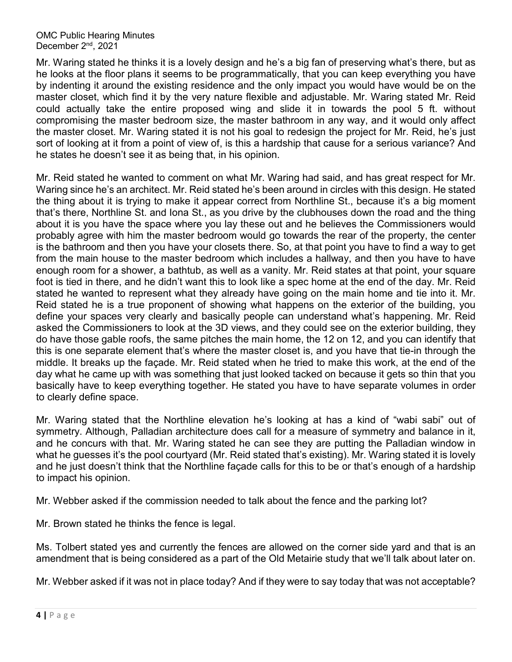Mr. Waring stated he thinks it is a lovely design and he's a big fan of preserving what's there, but as he looks at the floor plans it seems to be programmatically, that you can keep everything you have by indenting it around the existing residence and the only impact you would have would be on the master closet, which find it by the very nature flexible and adjustable. Mr. Waring stated Mr. Reid could actually take the entire proposed wing and slide it in towards the pool 5 ft. without compromising the master bedroom size, the master bathroom in any way, and it would only affect the master closet. Mr. Waring stated it is not his goal to redesign the project for Mr. Reid, he's just sort of looking at it from a point of view of, is this a hardship that cause for a serious variance? And he states he doesn't see it as being that, in his opinion.

Mr. Reid stated he wanted to comment on what Mr. Waring had said, and has great respect for Mr. Waring since he's an architect. Mr. Reid stated he's been around in circles with this design. He stated the thing about it is trying to make it appear correct from Northline St., because it's a big moment that's there, Northline St. and Iona St., as you drive by the clubhouses down the road and the thing about it is you have the space where you lay these out and he believes the Commissioners would probably agree with him the master bedroom would go towards the rear of the property, the center is the bathroom and then you have your closets there. So, at that point you have to find a way to get from the main house to the master bedroom which includes a hallway, and then you have to have enough room for a shower, a bathtub, as well as a vanity. Mr. Reid states at that point, your square foot is tied in there, and he didn't want this to look like a spec home at the end of the day. Mr. Reid stated he wanted to represent what they already have going on the main home and tie into it. Mr. Reid stated he is a true proponent of showing what happens on the exterior of the building, you define your spaces very clearly and basically people can understand what's happening. Mr. Reid asked the Commissioners to look at the 3D views, and they could see on the exterior building, they do have those gable roofs, the same pitches the main home, the 12 on 12, and you can identify that this is one separate element that's where the master closet is, and you have that tie-in through the middle. It breaks up the façade. Mr. Reid stated when he tried to make this work, at the end of the day what he came up with was something that just looked tacked on because it gets so thin that you basically have to keep everything together. He stated you have to have separate volumes in order to clearly define space.

Mr. Waring stated that the Northline elevation he's looking at has a kind of "wabi sabi" out of symmetry. Although, Palladian architecture does call for a measure of symmetry and balance in it, and he concurs with that. Mr. Waring stated he can see they are putting the Palladian window in what he guesses it's the pool courtyard (Mr. Reid stated that's existing). Mr. Waring stated it is lovely and he just doesn't think that the Northline façade calls for this to be or that's enough of a hardship to impact his opinion.

Mr. Webber asked if the commission needed to talk about the fence and the parking lot?

Mr. Brown stated he thinks the fence is legal.

Ms. Tolbert stated yes and currently the fences are allowed on the corner side yard and that is an amendment that is being considered as a part of the Old Metairie study that we'll talk about later on.

Mr. Webber asked if it was not in place today? And if they were to say today that was not acceptable?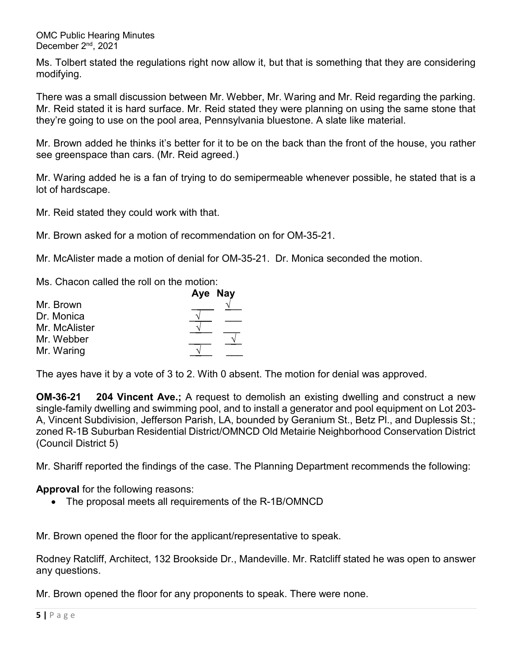Ms. Tolbert stated the regulations right now allow it, but that is something that they are considering modifying.

There was a small discussion between Mr. Webber, Mr. Waring and Mr. Reid regarding the parking. Mr. Reid stated it is hard surface. Mr. Reid stated they were planning on using the same stone that they're going to use on the pool area, Pennsylvania bluestone. A slate like material.

Mr. Brown added he thinks it's better for it to be on the back than the front of the house, you rather see greenspace than cars. (Mr. Reid agreed.)

Mr. Waring added he is a fan of trying to do semipermeable whenever possible, he stated that is a lot of hardscape.

Mr. Reid stated they could work with that.

Mr. Brown asked for a motion of recommendation on for OM-35-21.

Mr. McAlister made a motion of denial for OM-35-21. Dr. Monica seconded the motion.

Ms. Chacon called the roll on the motion:

|               | Aye Nay |
|---------------|---------|
| Mr. Brown     |         |
| Dr. Monica    |         |
| Mr. McAlister |         |
| Mr. Webber    |         |
| Mr. Waring    |         |

The ayes have it by a vote of 3 to 2. With 0 absent. The motion for denial was approved.

**OM-36-21 204 Vincent Ave.;** A request to demolish an existing dwelling and construct a new single-family dwelling and swimming pool, and to install a generator and pool equipment on Lot 203- A, Vincent Subdivision, Jefferson Parish, LA, bounded by Geranium St., Betz Pl., and Duplessis St.; zoned R-1B Suburban Residential District/OMNCD Old Metairie Neighborhood Conservation District (Council District 5)

Mr. Shariff reported the findings of the case. The Planning Department recommends the following:

**Approval** for the following reasons:

• The proposal meets all requirements of the R-1B/OMNCD

Mr. Brown opened the floor for the applicant/representative to speak.

Rodney Ratcliff, Architect, 132 Brookside Dr., Mandeville. Mr. Ratcliff stated he was open to answer any questions.

Mr. Brown opened the floor for any proponents to speak. There were none.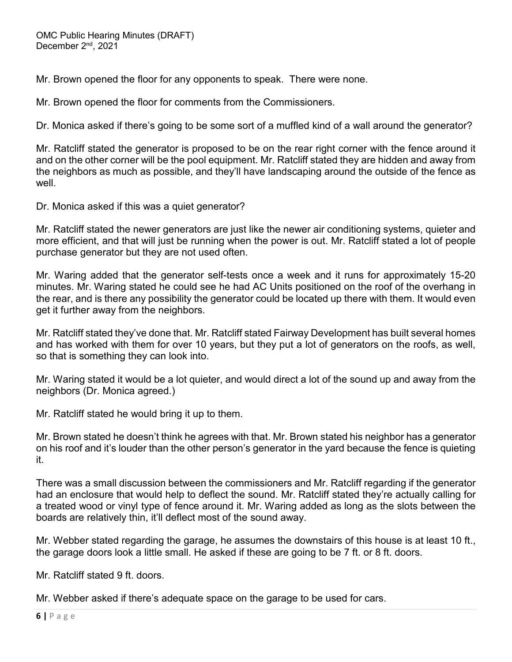Mr. Brown opened the floor for any opponents to speak. There were none.

Mr. Brown opened the floor for comments from the Commissioners.

Dr. Monica asked if there's going to be some sort of a muffled kind of a wall around the generator?

Mr. Ratcliff stated the generator is proposed to be on the rear right corner with the fence around it and on the other corner will be the pool equipment. Mr. Ratcliff stated they are hidden and away from the neighbors as much as possible, and they'll have landscaping around the outside of the fence as well.

Dr. Monica asked if this was a quiet generator?

Mr. Ratcliff stated the newer generators are just like the newer air conditioning systems, quieter and more efficient, and that will just be running when the power is out. Mr. Ratcliff stated a lot of people purchase generator but they are not used often.

Mr. Waring added that the generator self-tests once a week and it runs for approximately 15-20 minutes. Mr. Waring stated he could see he had AC Units positioned on the roof of the overhang in the rear, and is there any possibility the generator could be located up there with them. It would even get it further away from the neighbors.

Mr. Ratcliff stated they've done that. Mr. Ratcliff stated Fairway Development has built several homes and has worked with them for over 10 years, but they put a lot of generators on the roofs, as well, so that is something they can look into.

Mr. Waring stated it would be a lot quieter, and would direct a lot of the sound up and away from the neighbors (Dr. Monica agreed.)

Mr. Ratcliff stated he would bring it up to them.

Mr. Brown stated he doesn't think he agrees with that. Mr. Brown stated his neighbor has a generator on his roof and it's louder than the other person's generator in the yard because the fence is quieting it.

There was a small discussion between the commissioners and Mr. Ratcliff regarding if the generator had an enclosure that would help to deflect the sound. Mr. Ratcliff stated they're actually calling for a treated wood or vinyl type of fence around it. Mr. Waring added as long as the slots between the boards are relatively thin, it'll deflect most of the sound away.

Mr. Webber stated regarding the garage, he assumes the downstairs of this house is at least 10 ft., the garage doors look a little small. He asked if these are going to be 7 ft. or 8 ft. doors.

Mr. Ratcliff stated 9 ft. doors.

Mr. Webber asked if there's adequate space on the garage to be used for cars.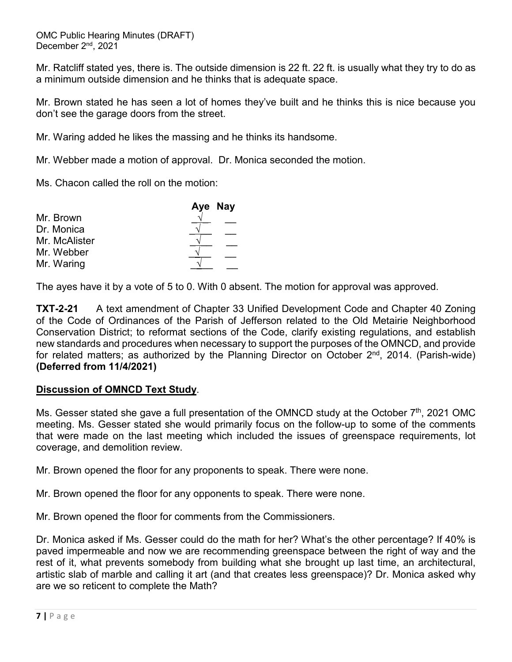Mr. Ratcliff stated yes, there is. The outside dimension is 22 ft. 22 ft. is usually what they try to do as a minimum outside dimension and he thinks that is adequate space.

Mr. Brown stated he has seen a lot of homes they've built and he thinks this is nice because you don't see the garage doors from the street.

Mr. Waring added he likes the massing and he thinks its handsome.

Mr. Webber made a motion of approval. Dr. Monica seconded the motion.

Ms. Chacon called the roll on the motion:

|               | Aye Nay |
|---------------|---------|
| Mr. Brown     |         |
| Dr. Monica    |         |
| Mr. McAlister |         |
| Mr. Webber    |         |
| Mr. Waring    |         |

The ayes have it by a vote of 5 to 0. With 0 absent. The motion for approval was approved.

**TXT-2-21** A text amendment of Chapter 33 Unified Development Code and Chapter 40 Zoning of the Code of Ordinances of the Parish of Jefferson related to the Old Metairie Neighborhood Conservation District; to reformat sections of the Code, clarify existing regulations, and establish new standards and procedures when necessary to support the purposes of the OMNCD, and provide for related matters; as authorized by the Planning Director on October  $2^{nd}$ , 2014. (Parish-wide) **(Deferred from 11/4/2021)**

#### **Discussion of OMNCD Text Study**.

Ms. Gesser stated she gave a full presentation of the OMNCD study at the October  $7<sup>th</sup>$ , 2021 OMC meeting. Ms. Gesser stated she would primarily focus on the follow-up to some of the comments that were made on the last meeting which included the issues of greenspace requirements, lot coverage, and demolition review.

Mr. Brown opened the floor for any proponents to speak. There were none.

Mr. Brown opened the floor for any opponents to speak. There were none.

Mr. Brown opened the floor for comments from the Commissioners.

Dr. Monica asked if Ms. Gesser could do the math for her? What's the other percentage? If 40% is paved impermeable and now we are recommending greenspace between the right of way and the rest of it, what prevents somebody from building what she brought up last time, an architectural, artistic slab of marble and calling it art (and that creates less greenspace)? Dr. Monica asked why are we so reticent to complete the Math?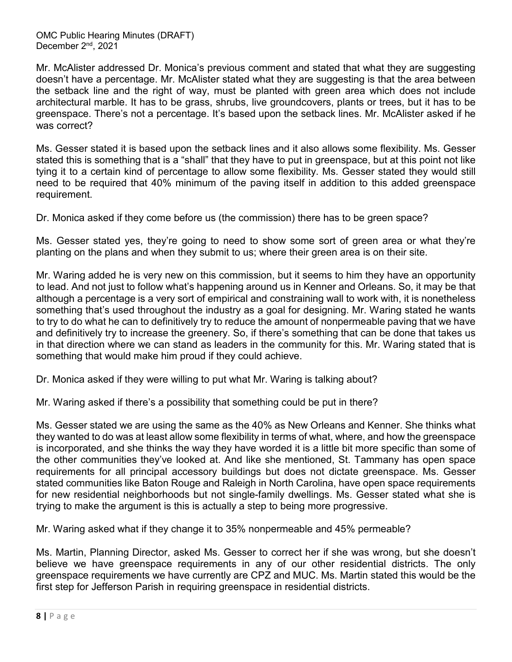Mr. McAlister addressed Dr. Monica's previous comment and stated that what they are suggesting doesn't have a percentage. Mr. McAlister stated what they are suggesting is that the area between the setback line and the right of way, must be planted with green area which does not include architectural marble. It has to be grass, shrubs, live groundcovers, plants or trees, but it has to be greenspace. There's not a percentage. It's based upon the setback lines. Mr. McAlister asked if he was correct?

Ms. Gesser stated it is based upon the setback lines and it also allows some flexibility. Ms. Gesser stated this is something that is a "shall" that they have to put in greenspace, but at this point not like tying it to a certain kind of percentage to allow some flexibility. Ms. Gesser stated they would still need to be required that 40% minimum of the paving itself in addition to this added greenspace requirement.

Dr. Monica asked if they come before us (the commission) there has to be green space?

Ms. Gesser stated yes, they're going to need to show some sort of green area or what they're planting on the plans and when they submit to us; where their green area is on their site.

Mr. Waring added he is very new on this commission, but it seems to him they have an opportunity to lead. And not just to follow what's happening around us in Kenner and Orleans. So, it may be that although a percentage is a very sort of empirical and constraining wall to work with, it is nonetheless something that's used throughout the industry as a goal for designing. Mr. Waring stated he wants to try to do what he can to definitively try to reduce the amount of nonpermeable paving that we have and definitively try to increase the greenery. So, if there's something that can be done that takes us in that direction where we can stand as leaders in the community for this. Mr. Waring stated that is something that would make him proud if they could achieve.

Dr. Monica asked if they were willing to put what Mr. Waring is talking about?

Mr. Waring asked if there's a possibility that something could be put in there?

Ms. Gesser stated we are using the same as the 40% as New Orleans and Kenner. She thinks what they wanted to do was at least allow some flexibility in terms of what, where, and how the greenspace is incorporated, and she thinks the way they have worded it is a little bit more specific than some of the other communities they've looked at. And like she mentioned, St. Tammany has open space requirements for all principal accessory buildings but does not dictate greenspace. Ms. Gesser stated communities like Baton Rouge and Raleigh in North Carolina, have open space requirements for new residential neighborhoods but not single-family dwellings. Ms. Gesser stated what she is trying to make the argument is this is actually a step to being more progressive.

Mr. Waring asked what if they change it to 35% nonpermeable and 45% permeable?

Ms. Martin, Planning Director, asked Ms. Gesser to correct her if she was wrong, but she doesn't believe we have greenspace requirements in any of our other residential districts. The only greenspace requirements we have currently are CPZ and MUC. Ms. Martin stated this would be the first step for Jefferson Parish in requiring greenspace in residential districts.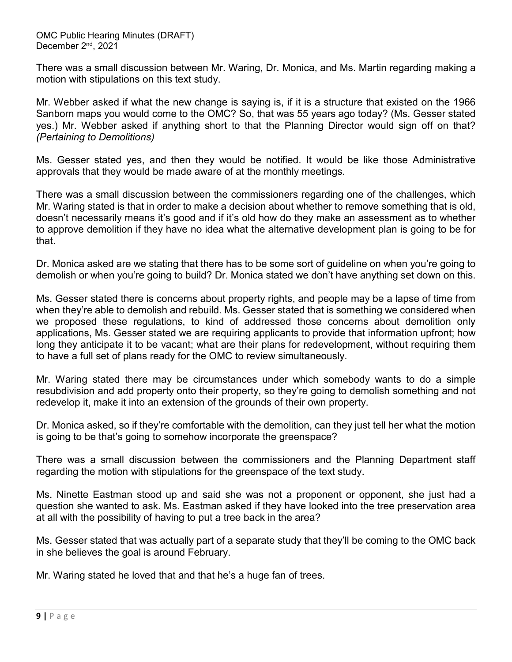There was a small discussion between Mr. Waring, Dr. Monica, and Ms. Martin regarding making a motion with stipulations on this text study.

Mr. Webber asked if what the new change is saying is, if it is a structure that existed on the 1966 Sanborn maps you would come to the OMC? So, that was 55 years ago today? (Ms. Gesser stated yes.) Mr. Webber asked if anything short to that the Planning Director would sign off on that? *(Pertaining to Demolitions)*

Ms. Gesser stated yes, and then they would be notified. It would be like those Administrative approvals that they would be made aware of at the monthly meetings.

There was a small discussion between the commissioners regarding one of the challenges, which Mr. Waring stated is that in order to make a decision about whether to remove something that is old, doesn't necessarily means it's good and if it's old how do they make an assessment as to whether to approve demolition if they have no idea what the alternative development plan is going to be for that.

Dr. Monica asked are we stating that there has to be some sort of guideline on when you're going to demolish or when you're going to build? Dr. Monica stated we don't have anything set down on this.

Ms. Gesser stated there is concerns about property rights, and people may be a lapse of time from when they're able to demolish and rebuild. Ms. Gesser stated that is something we considered when we proposed these regulations, to kind of addressed those concerns about demolition only applications, Ms. Gesser stated we are requiring applicants to provide that information upfront; how long they anticipate it to be vacant; what are their plans for redevelopment, without requiring them to have a full set of plans ready for the OMC to review simultaneously.

Mr. Waring stated there may be circumstances under which somebody wants to do a simple resubdivision and add property onto their property, so they're going to demolish something and not redevelop it, make it into an extension of the grounds of their own property.

Dr. Monica asked, so if they're comfortable with the demolition, can they just tell her what the motion is going to be that's going to somehow incorporate the greenspace?

There was a small discussion between the commissioners and the Planning Department staff regarding the motion with stipulations for the greenspace of the text study.

Ms. Ninette Eastman stood up and said she was not a proponent or opponent, she just had a question she wanted to ask. Ms. Eastman asked if they have looked into the tree preservation area at all with the possibility of having to put a tree back in the area?

Ms. Gesser stated that was actually part of a separate study that they'll be coming to the OMC back in she believes the goal is around February.

Mr. Waring stated he loved that and that he's a huge fan of trees.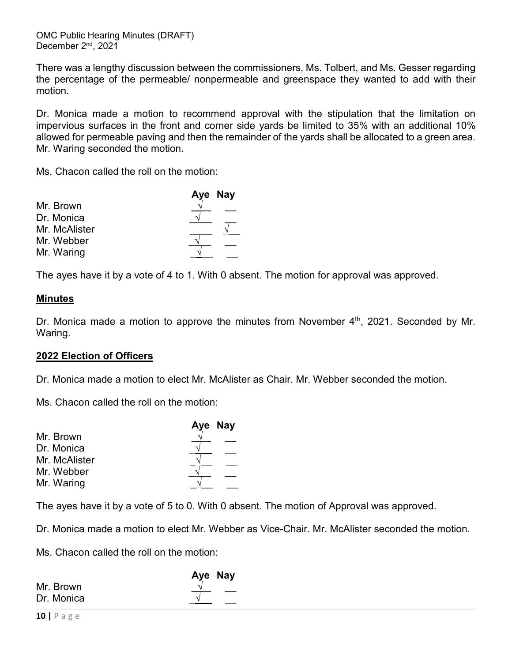There was a lengthy discussion between the commissioners, Ms. Tolbert, and Ms. Gesser regarding the percentage of the permeable/ nonpermeable and greenspace they wanted to add with their motion.

Dr. Monica made a motion to recommend approval with the stipulation that the limitation on impervious surfaces in the front and corner side yards be limited to 35% with an additional 10% allowed for permeable paving and then the remainder of the yards shall be allocated to a green area. Mr. Waring seconded the motion.

Ms. Chacon called the roll on the motion:

|               | Aye Nay |  |
|---------------|---------|--|
| Mr. Brown     |         |  |
| Dr. Monica    |         |  |
| Mr. McAlister |         |  |
| Mr. Webber    |         |  |
| Mr. Waring    |         |  |

The ayes have it by a vote of 4 to 1. With 0 absent. The motion for approval was approved.

# **Minutes**

Dr. Monica made a motion to approve the minutes from November 4<sup>th</sup>, 2021. Seconded by Mr. Waring.

#### **2022 Election of Officers**

Dr. Monica made a motion to elect Mr. McAlister as Chair. Mr. Webber seconded the motion.

Ms. Chacon called the roll on the motion:

|               | Aye Nay |
|---------------|---------|
| Mr. Brown     |         |
| Dr. Monica    |         |
| Mr. McAlister |         |
| Mr. Webber    |         |
| Mr. Waring    |         |

The ayes have it by a vote of 5 to 0. With 0 absent. The motion of Approval was approved.

Dr. Monica made a motion to elect Mr. Webber as Vice-Chair. Mr. McAlister seconded the motion.

Ms. Chacon called the roll on the motion:

|                              | Aye Nay |
|------------------------------|---------|
| Mr. Brown<br>Dr. Monica<br>ᄾ |         |
|                              |         |